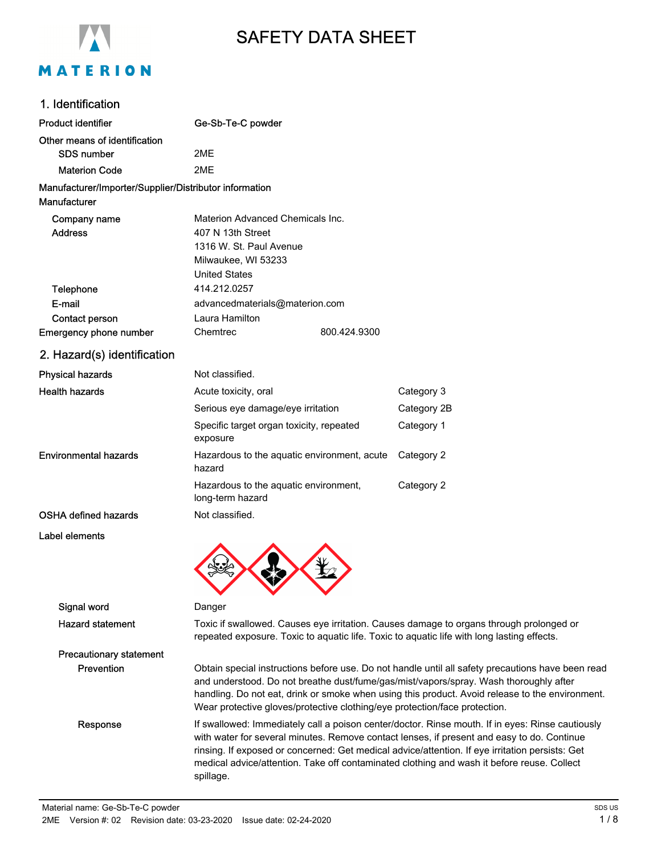

# SAFETY DATA SHEET

#### 1. Identification

| <b>Product identifier</b>                              | Ge-Sb-Te-C powder                                                                                                                                                                                                                                                                                                                                                                                            |             |  |
|--------------------------------------------------------|--------------------------------------------------------------------------------------------------------------------------------------------------------------------------------------------------------------------------------------------------------------------------------------------------------------------------------------------------------------------------------------------------------------|-------------|--|
| Other means of identification                          |                                                                                                                                                                                                                                                                                                                                                                                                              |             |  |
| <b>SDS number</b>                                      | 2ME                                                                                                                                                                                                                                                                                                                                                                                                          |             |  |
| <b>Materion Code</b>                                   | 2ME                                                                                                                                                                                                                                                                                                                                                                                                          |             |  |
| Manufacturer/Importer/Supplier/Distributor information |                                                                                                                                                                                                                                                                                                                                                                                                              |             |  |
| Manufacturer                                           |                                                                                                                                                                                                                                                                                                                                                                                                              |             |  |
| Company name                                           | Materion Advanced Chemicals Inc.                                                                                                                                                                                                                                                                                                                                                                             |             |  |
| <b>Address</b>                                         | 407 N 13th Street                                                                                                                                                                                                                                                                                                                                                                                            |             |  |
|                                                        | 1316 W. St. Paul Avenue                                                                                                                                                                                                                                                                                                                                                                                      |             |  |
|                                                        | Milwaukee, WI 53233                                                                                                                                                                                                                                                                                                                                                                                          |             |  |
|                                                        | <b>United States</b>                                                                                                                                                                                                                                                                                                                                                                                         |             |  |
| <b>Telephone</b>                                       | 414.212.0257                                                                                                                                                                                                                                                                                                                                                                                                 |             |  |
| E-mail                                                 | advancedmaterials@materion.com                                                                                                                                                                                                                                                                                                                                                                               |             |  |
| Contact person                                         | Laura Hamilton                                                                                                                                                                                                                                                                                                                                                                                               |             |  |
| Emergency phone number                                 | Chemtrec<br>800.424.9300                                                                                                                                                                                                                                                                                                                                                                                     |             |  |
| 2. Hazard(s) identification                            |                                                                                                                                                                                                                                                                                                                                                                                                              |             |  |
| <b>Physical hazards</b>                                | Not classified.                                                                                                                                                                                                                                                                                                                                                                                              |             |  |
| <b>Health hazards</b>                                  | Acute toxicity, oral                                                                                                                                                                                                                                                                                                                                                                                         | Category 3  |  |
|                                                        | Serious eye damage/eye irritation                                                                                                                                                                                                                                                                                                                                                                            | Category 2B |  |
|                                                        | Specific target organ toxicity, repeated<br>exposure                                                                                                                                                                                                                                                                                                                                                         | Category 1  |  |
| <b>Environmental hazards</b>                           | Hazardous to the aquatic environment, acute<br>hazard                                                                                                                                                                                                                                                                                                                                                        | Category 2  |  |
|                                                        | Hazardous to the aquatic environment,<br>long-term hazard                                                                                                                                                                                                                                                                                                                                                    | Category 2  |  |
| <b>OSHA defined hazards</b>                            | Not classified.                                                                                                                                                                                                                                                                                                                                                                                              |             |  |
| Label elements                                         |                                                                                                                                                                                                                                                                                                                                                                                                              |             |  |
| Signal word                                            | Danger                                                                                                                                                                                                                                                                                                                                                                                                       |             |  |
| <b>Hazard statement</b>                                | Toxic if swallowed. Causes eye irritation. Causes damage to organs through prolonged or<br>repeated exposure. Toxic to aquatic life. Toxic to aquatic life with long lasting effects.                                                                                                                                                                                                                        |             |  |
| <b>Precautionary statement</b>                         |                                                                                                                                                                                                                                                                                                                                                                                                              |             |  |
| Prevention                                             | Obtain special instructions before use. Do not handle until all safety precautions have been read<br>and understood. Do not breathe dust/fume/gas/mist/vapors/spray. Wash thoroughly after<br>handling. Do not eat, drink or smoke when using this product. Avoid release to the environment.<br>Wear protective gloves/protective clothing/eye protection/face protection.                                  |             |  |
| Response                                               | If swallowed: Immediately call a poison center/doctor. Rinse mouth. If in eyes: Rinse cautiously<br>with water for several minutes. Remove contact lenses, if present and easy to do. Continue<br>rinsing. If exposed or concerned: Get medical advice/attention. If eye irritation persists: Get<br>medical advice/attention. Take off contaminated clothing and wash it before reuse. Collect<br>spillage. |             |  |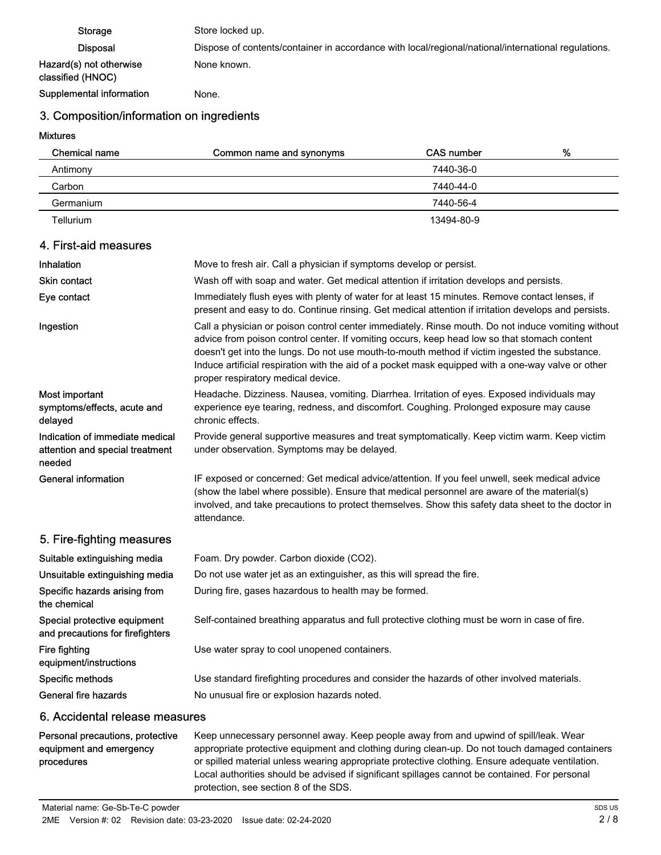Storage Store locked up. Disposal Dispose of contents/container in accordance with local/regional/national/international regulations. Hazard(s) not otherwise classified (HNOC) None known. Supplemental information Mone.

## 3. Composition/information on ingredients

Mixtures

| Chemical name | Common name and synonyms | CAS number | % |
|---------------|--------------------------|------------|---|
| Antimony      |                          | 7440-36-0  |   |
| Carbon        |                          | 7440-44-0  |   |
| Germanium     |                          | 7440-56-4  |   |
| Tellurium     |                          | 13494-80-9 |   |

#### 4. First-aid measures

| Inhalation                                                                   | Move to fresh air. Call a physician if symptoms develop or persist.                                                                                                                                                                                                                                                                                                                                                                              |  |  |
|------------------------------------------------------------------------------|--------------------------------------------------------------------------------------------------------------------------------------------------------------------------------------------------------------------------------------------------------------------------------------------------------------------------------------------------------------------------------------------------------------------------------------------------|--|--|
| <b>Skin contact</b>                                                          | Wash off with soap and water. Get medical attention if irritation develops and persists.                                                                                                                                                                                                                                                                                                                                                         |  |  |
| Eye contact                                                                  | Immediately flush eyes with plenty of water for at least 15 minutes. Remove contact lenses, if<br>present and easy to do. Continue rinsing. Get medical attention if irritation develops and persists.                                                                                                                                                                                                                                           |  |  |
| Ingestion                                                                    | Call a physician or poison control center immediately. Rinse mouth. Do not induce vomiting without<br>advice from poison control center. If vomiting occurs, keep head low so that stomach content<br>doesn't get into the lungs. Do not use mouth-to-mouth method if victim ingested the substance.<br>Induce artificial respiration with the aid of a pocket mask equipped with a one-way valve or other<br>proper respiratory medical device. |  |  |
| Most important<br>symptoms/effects, acute and<br>delayed                     | Headache. Dizziness. Nausea, vomiting. Diarrhea. Irritation of eyes. Exposed individuals may<br>experience eye tearing, redness, and discomfort. Coughing. Prolonged exposure may cause<br>chronic effects.                                                                                                                                                                                                                                      |  |  |
| Indication of immediate medical<br>attention and special treatment<br>needed | Provide general supportive measures and treat symptomatically. Keep victim warm. Keep victim<br>under observation. Symptoms may be delayed.                                                                                                                                                                                                                                                                                                      |  |  |
| <b>General information</b>                                                   | IF exposed or concerned: Get medical advice/attention. If you feel unwell, seek medical advice<br>(show the label where possible). Ensure that medical personnel are aware of the material(s)<br>involved, and take precautions to protect themselves. Show this safety data sheet to the doctor in<br>attendance.                                                                                                                               |  |  |
| 5. Fire-fighting measures                                                    |                                                                                                                                                                                                                                                                                                                                                                                                                                                  |  |  |
| Suitable extinguishing media                                                 | Foam. Dry powder. Carbon dioxide (CO2).                                                                                                                                                                                                                                                                                                                                                                                                          |  |  |
| Unsuitable extinguishing media                                               | Do not use water jet as an extinguisher, as this will spread the fire.                                                                                                                                                                                                                                                                                                                                                                           |  |  |
| Specific hazards arising from<br>the chemical                                | During fire, gases hazardous to health may be formed.                                                                                                                                                                                                                                                                                                                                                                                            |  |  |
| Special protective equipment<br>and precautions for firefighters             | Self-contained breathing apparatus and full protective clothing must be worn in case of fire.                                                                                                                                                                                                                                                                                                                                                    |  |  |
| Fire fighting<br>equipment/instructions                                      | Use water spray to cool unopened containers.                                                                                                                                                                                                                                                                                                                                                                                                     |  |  |
| Specific methods                                                             | Use standard firefighting procedures and consider the hazards of other involved materials.                                                                                                                                                                                                                                                                                                                                                       |  |  |
| General fire hazards                                                         | No unusual fire or explosion hazards noted.                                                                                                                                                                                                                                                                                                                                                                                                      |  |  |
| .                                                                            |                                                                                                                                                                                                                                                                                                                                                                                                                                                  |  |  |

#### 6. Accidental release measures

| Personal precautions, protective | Keep unnecessary personnel away. Keep people away from and upwind of spill/leak. Wear                                                                                                                                                       |
|----------------------------------|---------------------------------------------------------------------------------------------------------------------------------------------------------------------------------------------------------------------------------------------|
| equipment and emergency          | appropriate protective equipment and clothing during clean-up. Do not touch damaged containers                                                                                                                                              |
| procedures                       | or spilled material unless wearing appropriate protective clothing. Ensure adequate ventilation.<br>Local authorities should be advised if significant spillages cannot be contained. For personal<br>protection, see section 8 of the SDS. |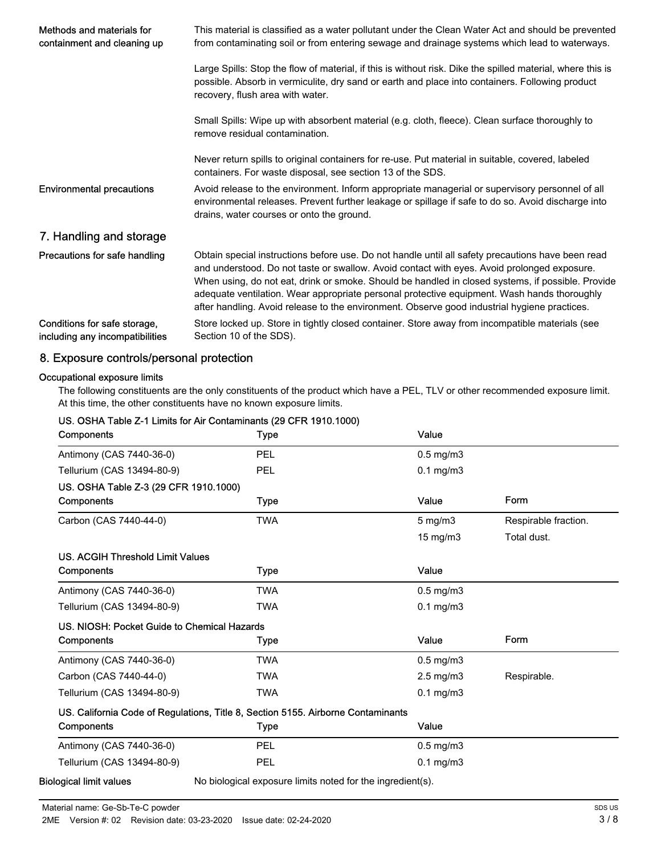| Methods and materials for<br>containment and cleaning up        | This material is classified as a water pollutant under the Clean Water Act and should be prevented<br>from contaminating soil or from entering sewage and drainage systems which lead to waterways.                                                                                                                                                                                                                                                                                                  |  |  |
|-----------------------------------------------------------------|------------------------------------------------------------------------------------------------------------------------------------------------------------------------------------------------------------------------------------------------------------------------------------------------------------------------------------------------------------------------------------------------------------------------------------------------------------------------------------------------------|--|--|
|                                                                 | Large Spills: Stop the flow of material, if this is without risk. Dike the spilled material, where this is<br>possible. Absorb in vermiculite, dry sand or earth and place into containers. Following product<br>recovery, flush area with water.                                                                                                                                                                                                                                                    |  |  |
|                                                                 | Small Spills: Wipe up with absorbent material (e.g. cloth, fleece). Clean surface thoroughly to<br>remove residual contamination.                                                                                                                                                                                                                                                                                                                                                                    |  |  |
|                                                                 | Never return spills to original containers for re-use. Put material in suitable, covered, labeled<br>containers. For waste disposal, see section 13 of the SDS.                                                                                                                                                                                                                                                                                                                                      |  |  |
| <b>Environmental precautions</b>                                | Avoid release to the environment. Inform appropriate managerial or supervisory personnel of all<br>environmental releases. Prevent further leakage or spillage if safe to do so. Avoid discharge into<br>drains, water courses or onto the ground.                                                                                                                                                                                                                                                   |  |  |
| 7. Handling and storage                                         |                                                                                                                                                                                                                                                                                                                                                                                                                                                                                                      |  |  |
| Precautions for safe handling                                   | Obtain special instructions before use. Do not handle until all safety precautions have been read<br>and understood. Do not taste or swallow. Avoid contact with eyes. Avoid prolonged exposure.<br>When using, do not eat, drink or smoke. Should be handled in closed systems, if possible. Provide<br>adequate ventilation. Wear appropriate personal protective equipment. Wash hands thoroughly<br>after handling. Avoid release to the environment. Observe good industrial hygiene practices. |  |  |
| Conditions for safe storage,<br>including any incompatibilities | Store locked up. Store in tightly closed container. Store away from incompatible materials (see<br>Section 10 of the SDS).                                                                                                                                                                                                                                                                                                                                                                           |  |  |

### 8. Exposure controls/personal protection

#### Occupational exposure limits

The following constituents are the only constituents of the product which have a PEL, TLV or other recommended exposure limit. At this time, the other constituents have no known exposure limits.

| Components                                  | Type                                                                             | Value                |                      |
|---------------------------------------------|----------------------------------------------------------------------------------|----------------------|----------------------|
| Antimony (CAS 7440-36-0)                    | PEL                                                                              | $0.5$ mg/m $3$       |                      |
| Tellurium (CAS 13494-80-9)                  | PEL                                                                              | $0.1$ mg/m $3$       |                      |
| US. OSHA Table Z-3 (29 CFR 1910.1000)       |                                                                                  |                      |                      |
| Components                                  | <b>Type</b>                                                                      | Value                | Form                 |
| Carbon (CAS 7440-44-0)                      | <b>TWA</b>                                                                       | $5$ mg/m $3$         | Respirable fraction. |
|                                             |                                                                                  | 15 mg/m3             | Total dust.          |
| US. ACGIH Threshold Limit Values            |                                                                                  |                      |                      |
| Components                                  | Type                                                                             | Value                |                      |
| Antimony (CAS 7440-36-0)                    | <b>TWA</b>                                                                       | $0.5$ mg/m $3$       |                      |
| Tellurium (CAS 13494-80-9)                  | <b>TWA</b>                                                                       | $0.1$ mg/m $3$       |                      |
| US. NIOSH: Pocket Guide to Chemical Hazards |                                                                                  |                      |                      |
| Components                                  | <b>Type</b>                                                                      | Value                | Form                 |
| Antimony (CAS 7440-36-0)                    | <b>TWA</b>                                                                       | $0.5$ mg/m $3$       |                      |
| Carbon (CAS 7440-44-0)                      | <b>TWA</b>                                                                       | $2.5 \text{ mg/m}$ 3 | Respirable.          |
| Tellurium (CAS 13494-80-9)                  | <b>TWA</b>                                                                       | $0.1$ mg/m $3$       |                      |
|                                             | US. California Code of Regulations, Title 8, Section 5155. Airborne Contaminants |                      |                      |
| Components                                  | <b>Type</b>                                                                      | Value                |                      |
| Antimony (CAS 7440-36-0)                    | PEL                                                                              | $0.5$ mg/m $3$       |                      |
| Tellurium (CAS 13494-80-9)                  | PEL                                                                              | $0.1$ mg/m $3$       |                      |
| <b>Biological limit values</b>              | No biological exposure limits noted for the ingredient(s).                       |                      |                      |

## US. OSHA Table Z-1 Limits for Air Contaminants (29 CFR 1910.1000)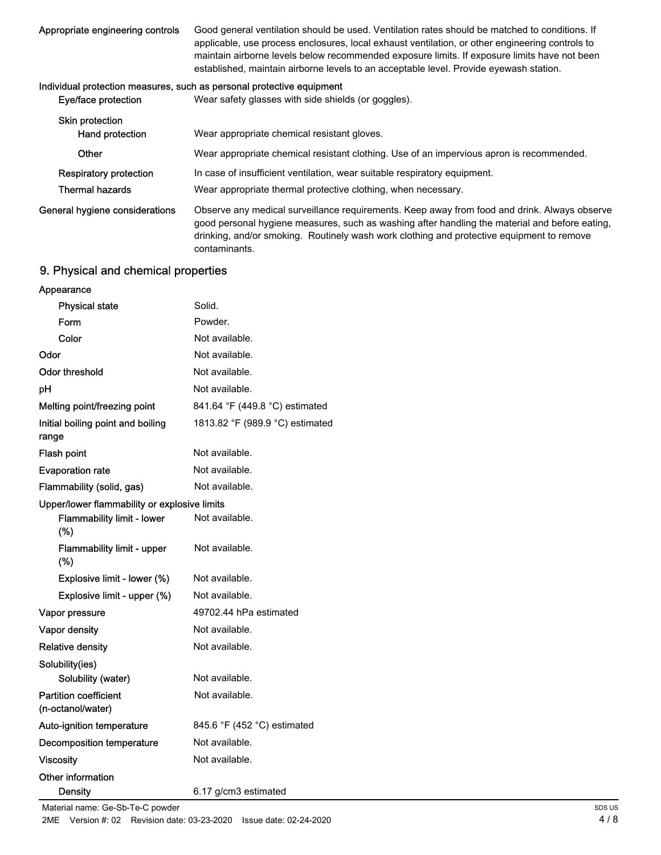| Appropriate engineering controls | Good general ventilation should be used. Ventilation rates should be matched to conditions. If<br>applicable, use process enclosures, local exhaust ventilation, or other engineering controls to<br>maintain airborne levels below recommended exposure limits. If exposure limits have not been<br>established, maintain airborne levels to an acceptable level. Provide eyewash station. |
|----------------------------------|---------------------------------------------------------------------------------------------------------------------------------------------------------------------------------------------------------------------------------------------------------------------------------------------------------------------------------------------------------------------------------------------|
|                                  | Individual protection measures, such as personal protective equipment                                                                                                                                                                                                                                                                                                                       |
| Eye/face protection              | Wear safety glasses with side shields (or goggles).                                                                                                                                                                                                                                                                                                                                         |
| Skin protection                  |                                                                                                                                                                                                                                                                                                                                                                                             |
| Hand protection                  | Wear appropriate chemical resistant gloves.                                                                                                                                                                                                                                                                                                                                                 |
| Other                            | Wear appropriate chemical resistant clothing. Use of an impervious apron is recommended.                                                                                                                                                                                                                                                                                                    |
| Respiratory protection           | In case of insufficient ventilation, wear suitable respiratory equipment.                                                                                                                                                                                                                                                                                                                   |
| <b>Thermal hazards</b>           | Wear appropriate thermal protective clothing, when necessary.                                                                                                                                                                                                                                                                                                                               |
|                                  |                                                                                                                                                                                                                                                                                                                                                                                             |

Observe any medical surveillance requirements. Keep away from food and drink. Always observe good personal hygiene measures, such as washing after handling the material and before eating, drinking, and/or smoking. Routinely wash work clothing and protective equipment to remove contaminants. General hygiene considerations

## 9. Physical and chemical properties

| Appearance                                        |                                 |
|---------------------------------------------------|---------------------------------|
| <b>Physical state</b>                             | Solid.                          |
| Form                                              | Powder.                         |
| Color                                             | Not available.                  |
| Odor                                              | Not available.                  |
| Odor threshold                                    | Not available.                  |
| рH                                                | Not available.                  |
| Melting point/freezing point                      | 841.64 °F (449.8 °C) estimated  |
| Initial boiling point and boiling<br>range        | 1813.82 °F (989.9 °C) estimated |
| <b>Flash point</b>                                | Not available.                  |
| <b>Evaporation rate</b>                           | Not available.                  |
| Flammability (solid, gas)                         | Not available.                  |
| Upper/lower flammability or explosive limits      |                                 |
| <b>Flammability limit - lower</b><br>(%)          | Not available.                  |
| Flammability limit - upper<br>(%)                 | Not available.                  |
| Explosive limit - lower (%)                       | Not available.                  |
| Explosive limit - upper (%)                       | Not available.                  |
| Vapor pressure                                    | 49702.44 hPa estimated          |
| <b>Vapor density</b>                              | Not available.                  |
| <b>Relative density</b>                           | Not available.                  |
| Solubility(ies)                                   |                                 |
| Solubility (water)                                | Not available.                  |
| <b>Partition coefficient</b><br>(n-octanol/water) | Not available.                  |
| Auto-ignition temperature                         | 845.6 °F (452 °C) estimated     |
| Decomposition temperature                         | Not available.                  |
| <b>Viscosity</b>                                  | Not available.                  |
| Other information                                 |                                 |
| <b>Density</b>                                    | 6.17 g/cm3 estimated            |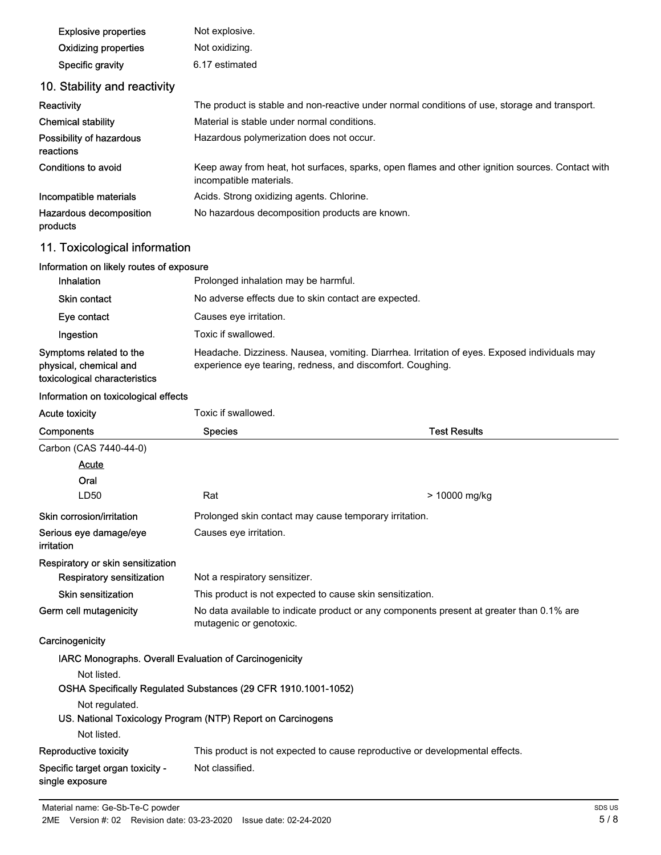| <b>Explosive properties</b>                                                        | Not explosive.                                                                                                                                             |  |  |
|------------------------------------------------------------------------------------|------------------------------------------------------------------------------------------------------------------------------------------------------------|--|--|
| <b>Oxidizing properties</b>                                                        | Not oxidizing.                                                                                                                                             |  |  |
| Specific gravity                                                                   | 6.17 estimated                                                                                                                                             |  |  |
| 10. Stability and reactivity                                                       |                                                                                                                                                            |  |  |
| Reactivity                                                                         | The product is stable and non-reactive under normal conditions of use, storage and transport.                                                              |  |  |
| <b>Chemical stability</b>                                                          | Material is stable under normal conditions.                                                                                                                |  |  |
| Possibility of hazardous<br>reactions                                              | Hazardous polymerization does not occur.                                                                                                                   |  |  |
| Conditions to avoid                                                                | Keep away from heat, hot surfaces, sparks, open flames and other ignition sources. Contact with<br>incompatible materials.                                 |  |  |
| Incompatible materials                                                             | Acids. Strong oxidizing agents. Chlorine.                                                                                                                  |  |  |
| Hazardous decomposition<br>products                                                | No hazardous decomposition products are known.                                                                                                             |  |  |
| 11. Toxicological information                                                      |                                                                                                                                                            |  |  |
| Information on likely routes of exposure                                           |                                                                                                                                                            |  |  |
| Inhalation                                                                         | Prolonged inhalation may be harmful.                                                                                                                       |  |  |
| Skin contact                                                                       | No adverse effects due to skin contact are expected.                                                                                                       |  |  |
| Eye contact                                                                        | Causes eye irritation.                                                                                                                                     |  |  |
| Ingestion                                                                          | Toxic if swallowed.                                                                                                                                        |  |  |
| Symptoms related to the<br>physical, chemical and<br>toxicological characteristics | Headache. Dizziness. Nausea, vomiting. Diarrhea. Irritation of eyes. Exposed individuals may<br>experience eye tearing, redness, and discomfort. Coughing. |  |  |
| Information on toxicological effects                                               |                                                                                                                                                            |  |  |
|                                                                                    |                                                                                                                                                            |  |  |
| <b>Acute toxicity</b>                                                              | Toxic if swallowed.                                                                                                                                        |  |  |
| Components                                                                         | <b>Test Results</b><br><b>Species</b>                                                                                                                      |  |  |
| Carbon (CAS 7440-44-0)                                                             |                                                                                                                                                            |  |  |
| <u>Acute</u>                                                                       |                                                                                                                                                            |  |  |
| Oral                                                                               |                                                                                                                                                            |  |  |
| LD50                                                                               | Rat<br>> 10000 mg/kg                                                                                                                                       |  |  |
| Skin corrosion/irritation<br>Serious eye damage/eye                                | Prolonged skin contact may cause temporary irritation.<br>Causes eye irritation.                                                                           |  |  |
| irritation                                                                         |                                                                                                                                                            |  |  |
| Respiratory or skin sensitization<br><b>Respiratory sensitization</b>              | Not a respiratory sensitizer.                                                                                                                              |  |  |
| <b>Skin sensitization</b>                                                          | This product is not expected to cause skin sensitization.                                                                                                  |  |  |
| Germ cell mutagenicity                                                             | No data available to indicate product or any components present at greater than 0.1% are<br>mutagenic or genotoxic.                                        |  |  |
| Carcinogenicity                                                                    |                                                                                                                                                            |  |  |
| IARC Monographs. Overall Evaluation of Carcinogenicity                             |                                                                                                                                                            |  |  |
| Not listed.                                                                        |                                                                                                                                                            |  |  |
|                                                                                    | OSHA Specifically Regulated Substances (29 CFR 1910.1001-1052)                                                                                             |  |  |
| Not regulated.                                                                     |                                                                                                                                                            |  |  |
|                                                                                    | US. National Toxicology Program (NTP) Report on Carcinogens                                                                                                |  |  |
| Not listed.                                                                        |                                                                                                                                                            |  |  |
| <b>Reproductive toxicity</b><br>Specific target organ toxicity -                   | This product is not expected to cause reproductive or developmental effects.<br>Not classified.                                                            |  |  |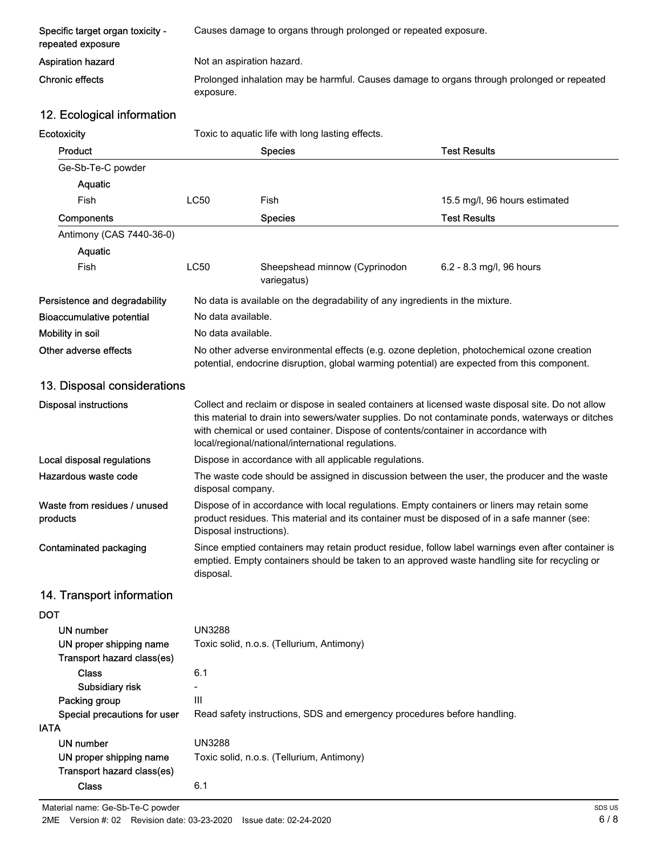| Specific target organ toxicity -<br>repeated exposure | Causes damage to organs through prolonged or repeated exposure.                                         |
|-------------------------------------------------------|---------------------------------------------------------------------------------------------------------|
| <b>Aspiration hazard</b>                              | Not an aspiration hazard.                                                                               |
| Chronic effects                                       | Prolonged inhalation may be harmful. Causes damage to organs through prolonged or repeated<br>exposure. |

## 12. Ecological information

| Ecotoxicity                                           |                                                                                                                                                                                                                        | Toxic to aquatic life with long lasting effects.                                                                                                                                                                                                                                                                                                  |                               |
|-------------------------------------------------------|------------------------------------------------------------------------------------------------------------------------------------------------------------------------------------------------------------------------|---------------------------------------------------------------------------------------------------------------------------------------------------------------------------------------------------------------------------------------------------------------------------------------------------------------------------------------------------|-------------------------------|
| Product                                               |                                                                                                                                                                                                                        | <b>Species</b>                                                                                                                                                                                                                                                                                                                                    | <b>Test Results</b>           |
| Ge-Sb-Te-C powder                                     |                                                                                                                                                                                                                        |                                                                                                                                                                                                                                                                                                                                                   |                               |
| Aquatic                                               |                                                                                                                                                                                                                        |                                                                                                                                                                                                                                                                                                                                                   |                               |
| Fish                                                  | <b>LC50</b>                                                                                                                                                                                                            | Fish                                                                                                                                                                                                                                                                                                                                              | 15.5 mg/l, 96 hours estimated |
| Components                                            |                                                                                                                                                                                                                        | <b>Species</b>                                                                                                                                                                                                                                                                                                                                    | <b>Test Results</b>           |
| Antimony (CAS 7440-36-0)                              |                                                                                                                                                                                                                        |                                                                                                                                                                                                                                                                                                                                                   |                               |
| Aquatic                                               |                                                                                                                                                                                                                        |                                                                                                                                                                                                                                                                                                                                                   |                               |
| Fish                                                  | <b>LC50</b>                                                                                                                                                                                                            | Sheepshead minnow (Cyprinodon<br>variegatus)                                                                                                                                                                                                                                                                                                      | 6.2 - 8.3 mg/l, 96 hours      |
| Persistence and degradability                         |                                                                                                                                                                                                                        | No data is available on the degradability of any ingredients in the mixture.                                                                                                                                                                                                                                                                      |                               |
| <b>Bioaccumulative potential</b>                      | No data available.                                                                                                                                                                                                     |                                                                                                                                                                                                                                                                                                                                                   |                               |
| Mobility in soil                                      | No data available.                                                                                                                                                                                                     |                                                                                                                                                                                                                                                                                                                                                   |                               |
| Other adverse effects                                 |                                                                                                                                                                                                                        | No other adverse environmental effects (e.g. ozone depletion, photochemical ozone creation<br>potential, endocrine disruption, global warming potential) are expected from this component.                                                                                                                                                        |                               |
| 13. Disposal considerations                           |                                                                                                                                                                                                                        |                                                                                                                                                                                                                                                                                                                                                   |                               |
| <b>Disposal instructions</b>                          |                                                                                                                                                                                                                        | Collect and reclaim or dispose in sealed containers at licensed waste disposal site. Do not allow<br>this material to drain into sewers/water supplies. Do not contaminate ponds, waterways or ditches<br>with chemical or used container. Dispose of contents/container in accordance with<br>local/regional/national/international regulations. |                               |
| Local disposal regulations                            | Dispose in accordance with all applicable regulations.                                                                                                                                                                 |                                                                                                                                                                                                                                                                                                                                                   |                               |
| Hazardous waste code                                  | The waste code should be assigned in discussion between the user, the producer and the waste<br>disposal company.                                                                                                      |                                                                                                                                                                                                                                                                                                                                                   |                               |
| Waste from residues / unused<br>products              | Dispose of in accordance with local regulations. Empty containers or liners may retain some<br>product residues. This material and its container must be disposed of in a safe manner (see:<br>Disposal instructions). |                                                                                                                                                                                                                                                                                                                                                   |                               |
| Contaminated packaging                                | Since emptied containers may retain product residue, follow label warnings even after container is<br>emptied. Empty containers should be taken to an approved waste handling site for recycling or<br>disposal.       |                                                                                                                                                                                                                                                                                                                                                   |                               |
| 14. Transport information                             |                                                                                                                                                                                                                        |                                                                                                                                                                                                                                                                                                                                                   |                               |
| <b>DOT</b>                                            |                                                                                                                                                                                                                        |                                                                                                                                                                                                                                                                                                                                                   |                               |
| UN number                                             | <b>UN3288</b>                                                                                                                                                                                                          |                                                                                                                                                                                                                                                                                                                                                   |                               |
| UN proper shipping name<br>Transport hazard class(es) | Toxic solid, n.o.s. (Tellurium, Antimony)                                                                                                                                                                              |                                                                                                                                                                                                                                                                                                                                                   |                               |
| <b>Class</b>                                          | 6.1                                                                                                                                                                                                                    |                                                                                                                                                                                                                                                                                                                                                   |                               |
| Subsidiary risk                                       |                                                                                                                                                                                                                        |                                                                                                                                                                                                                                                                                                                                                   |                               |
| Packing group                                         | Ш                                                                                                                                                                                                                      | Read safety instructions, SDS and emergency procedures before handling.                                                                                                                                                                                                                                                                           |                               |
| Special precautions for user<br><b>IATA</b>           |                                                                                                                                                                                                                        |                                                                                                                                                                                                                                                                                                                                                   |                               |
| <b>UN number</b>                                      | <b>UN3288</b>                                                                                                                                                                                                          |                                                                                                                                                                                                                                                                                                                                                   |                               |
| UN proper shipping name<br>Transport hazard class(es) |                                                                                                                                                                                                                        | Toxic solid, n.o.s. (Tellurium, Antimony)                                                                                                                                                                                                                                                                                                         |                               |
| <b>Class</b>                                          | 6.1                                                                                                                                                                                                                    |                                                                                                                                                                                                                                                                                                                                                   |                               |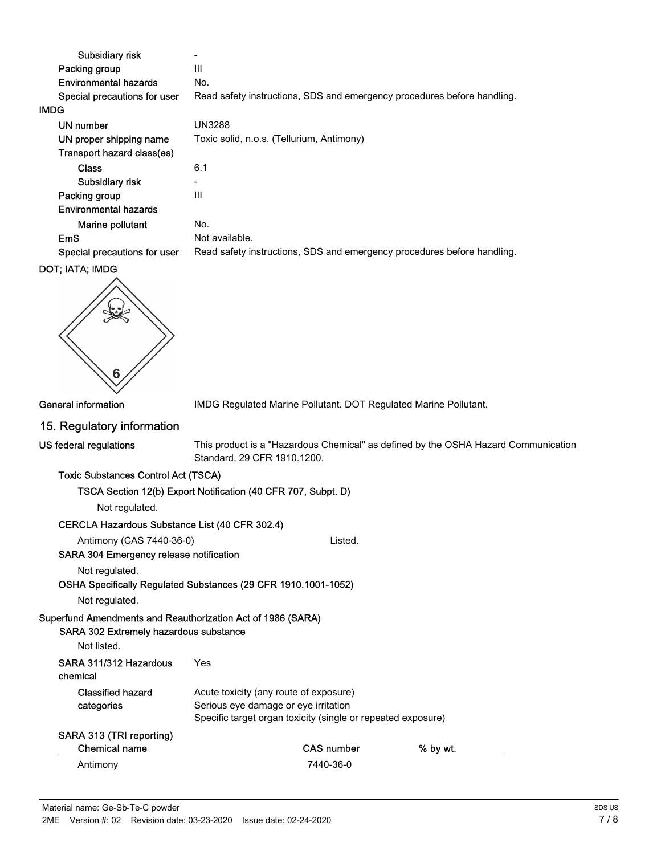| Subsidiary risk              |                                                                         |
|------------------------------|-------------------------------------------------------------------------|
| Packing group                | Ш                                                                       |
| Environmental hazards        | No.                                                                     |
| Special precautions for user | Read safety instructions, SDS and emergency procedures before handling. |
| <b>IMDG</b>                  |                                                                         |
| UN number                    | UN3288                                                                  |
| UN proper shipping name      | Toxic solid, n.o.s. (Tellurium, Antimony)                               |
| Transport hazard class(es)   |                                                                         |
| <b>Class</b>                 | 6.1                                                                     |
| Subsidiary risk              | ۰                                                                       |
| Packing group                | Ш                                                                       |
| Environmental hazards        |                                                                         |
| Marine pollutant             | No.                                                                     |
| EmS                          | Not available.                                                          |
| Special precautions for user | Read safety instructions, SDS and emergency procedures before handling. |
| <b>DOT: IATA: IMDG</b>       |                                                                         |



General information **IMDG Regulated Marine Pollutant. DOT Regulated Marine Pollutant.** 

#### 15. Regulatory information

This product is a "Hazardous Chemical" as defined by the OSHA Hazard Communication Standard, 29 CFR 1910.1200.

#### Toxic Substances Control Act (TSCA)

| TSCA Section 12(b) Export Notification (40 CFR 707, Subpt. D) |
|---------------------------------------------------------------|
| Not regulated.                                                |
| . . <i>. .</i> <del>.</del>                                   |

#### CERCLA Hazardous Substance List (40 CFR 302.4) Antimony (CAS 7440-36-0) Listed.

SARA 304 Emergency release notification

Not regulated.

OSHA Specifically Regulated Substances (29 CFR 1910.1001-1052)

Not regulated.

## Superfund Amendments and Reauthorization Act of 1986 (SARA)

#### SARA 302 Extremely hazardous substance

```
Not listed.
```

| SARA 311/312 Hazardous<br>chemical | Yes                                                                                                                                            |  |
|------------------------------------|------------------------------------------------------------------------------------------------------------------------------------------------|--|
| Classified hazard<br>categories    | Acute toxicity (any route of exposure)<br>Serious eye damage or eye irritation<br>Specific target organ toxicity (single or repeated exposure) |  |
| SADA 313 (TDI reporting)           |                                                                                                                                                |  |

| SARA 313 (TRI reporting) |            |          |  |  |
|--------------------------|------------|----------|--|--|
| Chemical name            | CAS number | % by wt. |  |  |
| Antimony                 | 7440-36-0  |          |  |  |